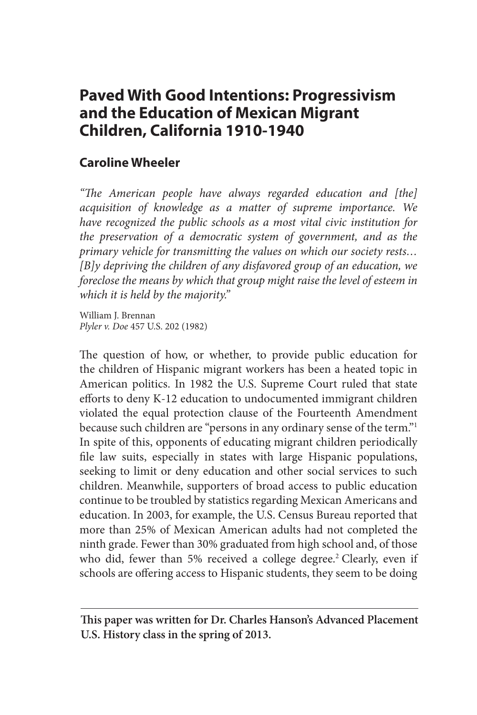# **Paved With Good Intentions: Progressivism and the Education of Mexican Migrant Children, California 1910-1940**

# **Caroline Wheeler**

*"The American people have always regarded education and [the] acquisition of knowledge as a matter of supreme importance. We have recognized the public schools as a most vital civic institution for the preservation of a democratic system of government, and as the primary vehicle for transmitting the values on which our society rests… [B]y depriving the children of any disfavored group of an education, we foreclose the means by which that group might raise the level of esteem in which it is held by the majority."*

William J. Brennan *Plyler v. Doe* 457 U.S. 202 (1982)

The question of how, or whether, to provide public education for the children of Hispanic migrant workers has been a heated topic in American politics. In 1982 the U.S. Supreme Court ruled that state efforts to deny K-12 education to undocumented immigrant children violated the equal protection clause of the Fourteenth Amendment because such children are "persons in any ordinary sense of the term."1 In spite of this, opponents of educating migrant children periodically file law suits, especially in states with large Hispanic populations, seeking to limit or deny education and other social services to such children. Meanwhile, supporters of broad access to public education continue to be troubled by statistics regarding Mexican Americans and education. In 2003, for example, the U.S. Census Bureau reported that more than 25% of Mexican American adults had not completed the ninth grade. Fewer than 30% graduated from high school and, of those who did, fewer than 5% received a college degree.<sup>2</sup> Clearly, even if schools are offering access to Hispanic students, they seem to be doing

**This paper was written for Dr. Charles Hanson's Advanced Placement U.S. History class in the spring of 2013.**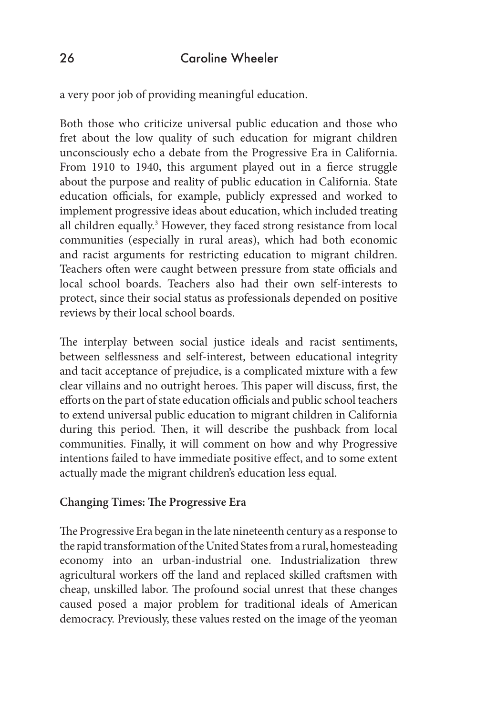a very poor job of providing meaningful education.

Both those who criticize universal public education and those who fret about the low quality of such education for migrant children unconsciously echo a debate from the Progressive Era in California. From 1910 to 1940, this argument played out in a fierce struggle about the purpose and reality of public education in California. State education officials, for example, publicly expressed and worked to implement progressive ideas about education, which included treating all children equally.<sup>3</sup> However, they faced strong resistance from local communities (especially in rural areas), which had both economic and racist arguments for restricting education to migrant children. Teachers often were caught between pressure from state officials and local school boards. Teachers also had their own self-interests to protect, since their social status as professionals depended on positive reviews by their local school boards.

The interplay between social justice ideals and racist sentiments, between selflessness and self-interest, between educational integrity and tacit acceptance of prejudice, is a complicated mixture with a few clear villains and no outright heroes. This paper will discuss, first, the efforts on the part of state education officials and public school teachers to extend universal public education to migrant children in California during this period. Then, it will describe the pushback from local communities. Finally, it will comment on how and why Progressive intentions failed to have immediate positive effect, and to some extent actually made the migrant children's education less equal.

#### **Changing Times: The Progressive Era**

The Progressive Era began in the late nineteenth century as a response to the rapid transformation of the United States from a rural, homesteading economy into an urban-industrial one. Industrialization threw agricultural workers off the land and replaced skilled craftsmen with cheap, unskilled labor. The profound social unrest that these changes caused posed a major problem for traditional ideals of American democracy. Previously, these values rested on the image of the yeoman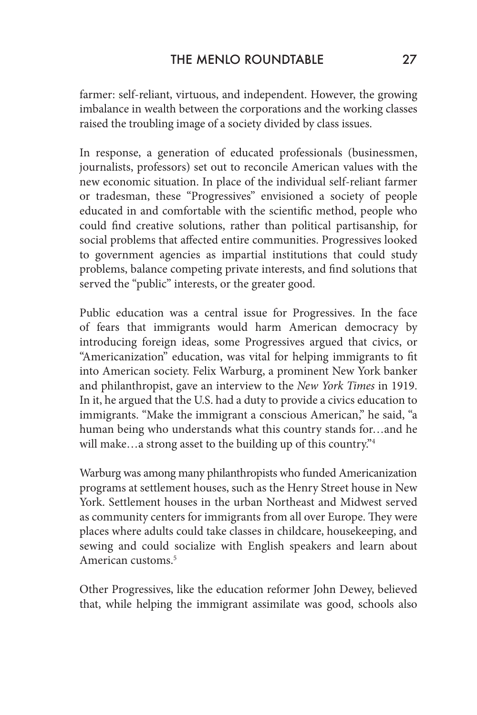farmer: self-reliant, virtuous, and independent. However, the growing imbalance in wealth between the corporations and the working classes raised the troubling image of a society divided by class issues.

In response, a generation of educated professionals (businessmen, journalists, professors) set out to reconcile American values with the new economic situation. In place of the individual self-reliant farmer or tradesman, these "Progressives" envisioned a society of people educated in and comfortable with the scientific method, people who could find creative solutions, rather than political partisanship, for social problems that affected entire communities. Progressives looked to government agencies as impartial institutions that could study problems, balance competing private interests, and find solutions that served the "public" interests, or the greater good.

Public education was a central issue for Progressives. In the face of fears that immigrants would harm American democracy by introducing foreign ideas, some Progressives argued that civics, or "Americanization" education, was vital for helping immigrants to fit into American society. Felix Warburg, a prominent New York banker and philanthropist, gave an interview to the *New York Times* in 1919. In it, he argued that the U.S. had a duty to provide a civics education to immigrants. "Make the immigrant a conscious American," he said, "a human being who understands what this country stands for…and he will make...a strong asset to the building up of this country."<sup>4</sup>

Warburg was among many philanthropists who funded Americanization programs at settlement houses, such as the Henry Street house in New York. Settlement houses in the urban Northeast and Midwest served as community centers for immigrants from all over Europe. They were places where adults could take classes in childcare, housekeeping, and sewing and could socialize with English speakers and learn about American customs.5

Other Progressives, like the education reformer John Dewey, believed that, while helping the immigrant assimilate was good, schools also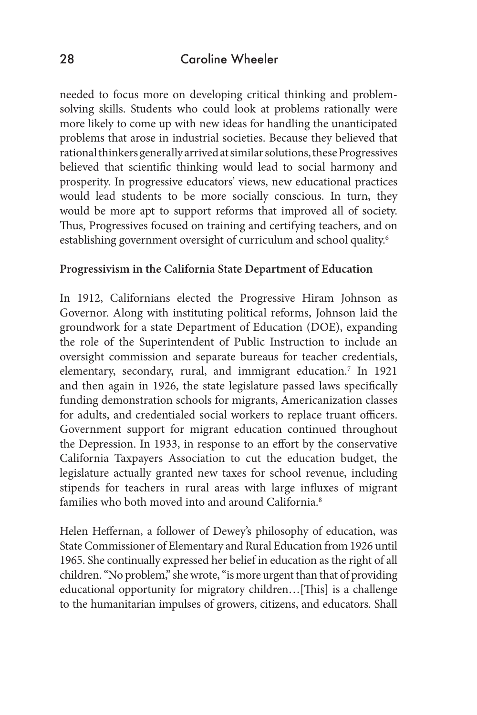needed to focus more on developing critical thinking and problemsolving skills. Students who could look at problems rationally were more likely to come up with new ideas for handling the unanticipated problems that arose in industrial societies. Because they believed that rational thinkers generally arrived at similar solutions, these Progressives believed that scientific thinking would lead to social harmony and prosperity. In progressive educators' views, new educational practices would lead students to be more socially conscious. In turn, they would be more apt to support reforms that improved all of society. Thus, Progressives focused on training and certifying teachers, and on establishing government oversight of curriculum and school quality.6

#### **Progressivism in the California State Department of Education**

In 1912, Californians elected the Progressive Hiram Johnson as Governor. Along with instituting political reforms, Johnson laid the groundwork for a state Department of Education (DOE), expanding the role of the Superintendent of Public Instruction to include an oversight commission and separate bureaus for teacher credentials, elementary, secondary, rural, and immigrant education.<sup>7</sup> In 1921 and then again in 1926, the state legislature passed laws specifically funding demonstration schools for migrants, Americanization classes for adults, and credentialed social workers to replace truant officers. Government support for migrant education continued throughout the Depression. In 1933, in response to an effort by the conservative California Taxpayers Association to cut the education budget, the legislature actually granted new taxes for school revenue, including stipends for teachers in rural areas with large influxes of migrant families who both moved into and around California.<sup>8</sup>

Helen Heffernan, a follower of Dewey's philosophy of education, was State Commissioner of Elementary and Rural Education from 1926 until 1965. She continually expressed her belief in education as the right of all children. "No problem," she wrote, "is more urgent than that of providing educational opportunity for migratory children…[This] is a challenge to the humanitarian impulses of growers, citizens, and educators. Shall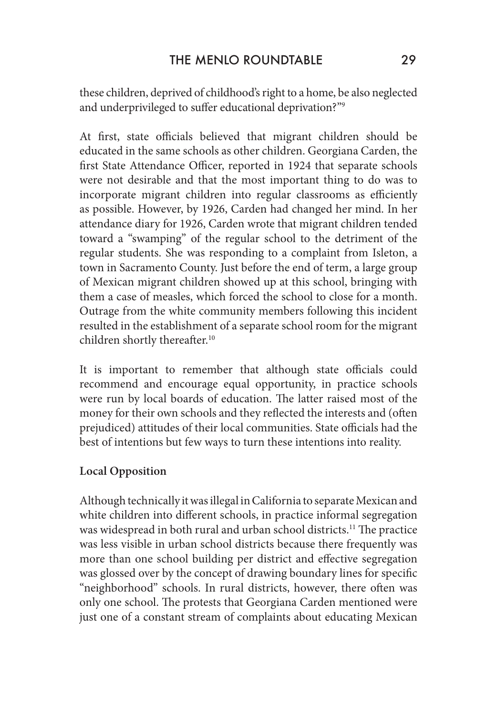these children, deprived of childhood's right to a home, be also neglected and underprivileged to suffer educational deprivation?"9

At first, state officials believed that migrant children should be educated in the same schools as other children. Georgiana Carden, the first State Attendance Officer, reported in 1924 that separate schools were not desirable and that the most important thing to do was to incorporate migrant children into regular classrooms as efficiently as possible. However, by 1926, Carden had changed her mind. In her attendance diary for 1926, Carden wrote that migrant children tended toward a "swamping" of the regular school to the detriment of the regular students. She was responding to a complaint from Isleton, a town in Sacramento County. Just before the end of term, a large group of Mexican migrant children showed up at this school, bringing with them a case of measles, which forced the school to close for a month. Outrage from the white community members following this incident resulted in the establishment of a separate school room for the migrant children shortly thereafter.<sup>10</sup>

It is important to remember that although state officials could recommend and encourage equal opportunity, in practice schools were run by local boards of education. The latter raised most of the money for their own schools and they reflected the interests and (often prejudiced) attitudes of their local communities. State officials had the best of intentions but few ways to turn these intentions into reality.

# **Local Opposition**

Although technically it was illegal in California to separate Mexican and white children into different schools, in practice informal segregation was widespread in both rural and urban school districts.11 The practice was less visible in urban school districts because there frequently was more than one school building per district and effective segregation was glossed over by the concept of drawing boundary lines for specific "neighborhood" schools. In rural districts, however, there often was only one school. The protests that Georgiana Carden mentioned were just one of a constant stream of complaints about educating Mexican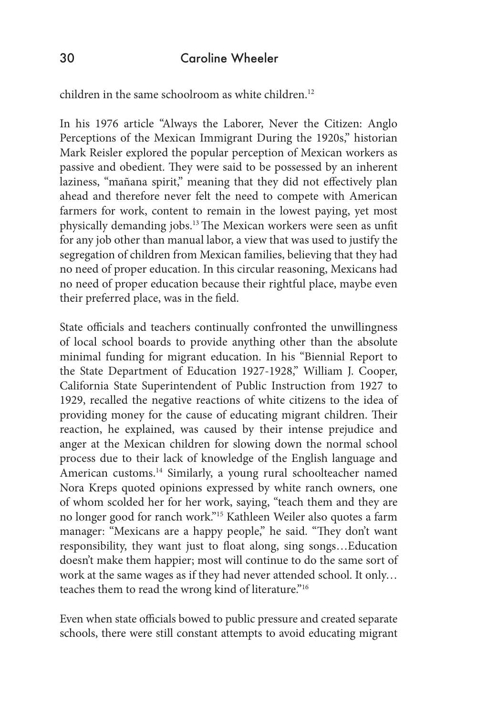children in the same schoolroom as white children.12

In his 1976 article "Always the Laborer, Never the Citizen: Anglo Perceptions of the Mexican Immigrant During the 1920s," historian Mark Reisler explored the popular perception of Mexican workers as passive and obedient. They were said to be possessed by an inherent laziness, "mañana spirit," meaning that they did not effectively plan ahead and therefore never felt the need to compete with American farmers for work, content to remain in the lowest paying, yet most physically demanding jobs.13 The Mexican workers were seen as unfit for any job other than manual labor, a view that was used to justify the segregation of children from Mexican families, believing that they had no need of proper education. In this circular reasoning, Mexicans had no need of proper education because their rightful place, maybe even their preferred place, was in the field.

State officials and teachers continually confronted the unwillingness of local school boards to provide anything other than the absolute minimal funding for migrant education. In his "Biennial Report to the State Department of Education 1927-1928," William J. Cooper, California State Superintendent of Public Instruction from 1927 to 1929, recalled the negative reactions of white citizens to the idea of providing money for the cause of educating migrant children. Their reaction, he explained, was caused by their intense prejudice and anger at the Mexican children for slowing down the normal school process due to their lack of knowledge of the English language and American customs.<sup>14</sup> Similarly, a young rural schoolteacher named Nora Kreps quoted opinions expressed by white ranch owners, one of whom scolded her for her work, saying, "teach them and they are no longer good for ranch work."15 Kathleen Weiler also quotes a farm manager: "Mexicans are a happy people," he said. "They don't want responsibility, they want just to float along, sing songs…Education doesn't make them happier; most will continue to do the same sort of work at the same wages as if they had never attended school. It only… teaches them to read the wrong kind of literature."16

Even when state officials bowed to public pressure and created separate schools, there were still constant attempts to avoid educating migrant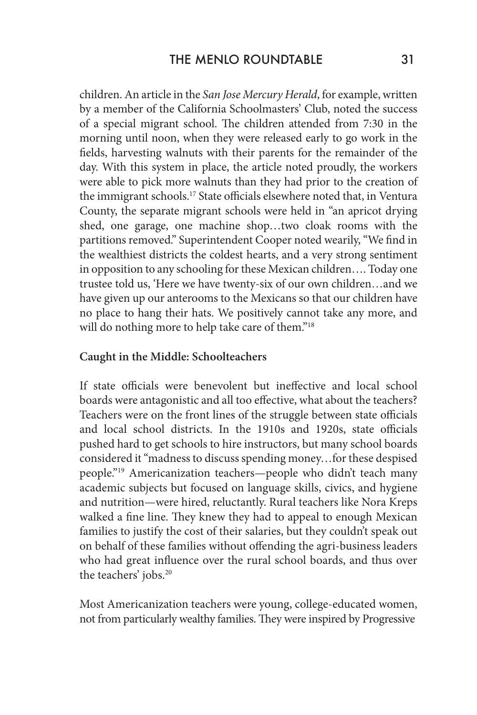children. An article in the *San Jose Mercury Herald*, for example, written by a member of the California Schoolmasters' Club, noted the success of a special migrant school. The children attended from 7:30 in the morning until noon, when they were released early to go work in the fields, harvesting walnuts with their parents for the remainder of the day. With this system in place, the article noted proudly, the workers were able to pick more walnuts than they had prior to the creation of the immigrant schools.<sup>17</sup> State officials elsewhere noted that, in Ventura County, the separate migrant schools were held in "an apricot drying shed, one garage, one machine shop…two cloak rooms with the partitions removed." Superintendent Cooper noted wearily, "We find in the wealthiest districts the coldest hearts, and a very strong sentiment in opposition to any schooling for these Mexican children…. Today one trustee told us, 'Here we have twenty-six of our own children…and we have given up our anterooms to the Mexicans so that our children have no place to hang their hats. We positively cannot take any more, and will do nothing more to help take care of them."<sup>18</sup>

#### **Caught in the Middle: Schoolteachers**

If state officials were benevolent but ineffective and local school boards were antagonistic and all too effective, what about the teachers? Teachers were on the front lines of the struggle between state officials and local school districts. In the 1910s and 1920s, state officials pushed hard to get schools to hire instructors, but many school boards considered it "madness to discuss spending money…for these despised people."19 Americanization teachers—people who didn't teach many academic subjects but focused on language skills, civics, and hygiene and nutrition—were hired, reluctantly. Rural teachers like Nora Kreps walked a fine line. They knew they had to appeal to enough Mexican families to justify the cost of their salaries, but they couldn't speak out on behalf of these families without offending the agri-business leaders who had great influence over the rural school boards, and thus over the teachers' jobs.<sup>20</sup>

Most Americanization teachers were young, college-educated women, not from particularly wealthy families. They were inspired by Progressive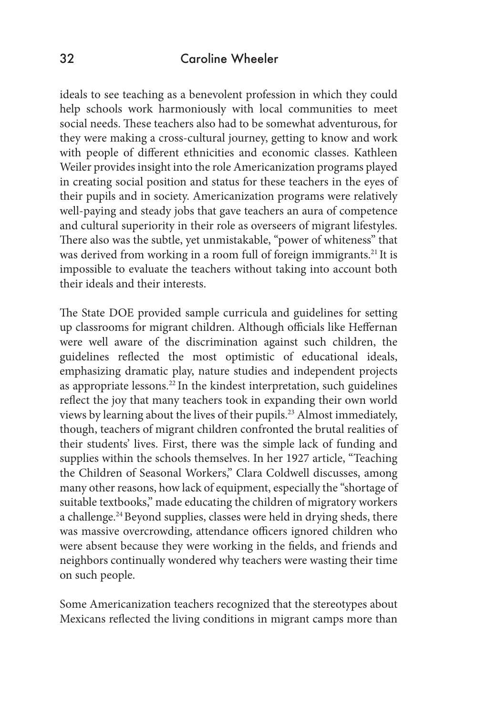ideals to see teaching as a benevolent profession in which they could help schools work harmoniously with local communities to meet social needs. These teachers also had to be somewhat adventurous, for they were making a cross-cultural journey, getting to know and work with people of different ethnicities and economic classes. Kathleen Weiler provides insight into the role Americanization programs played in creating social position and status for these teachers in the eyes of their pupils and in society. Americanization programs were relatively well-paying and steady jobs that gave teachers an aura of competence and cultural superiority in their role as overseers of migrant lifestyles. There also was the subtle, yet unmistakable, "power of whiteness" that was derived from working in a room full of foreign immigrants.<sup>21</sup> It is impossible to evaluate the teachers without taking into account both their ideals and their interests.

The State DOE provided sample curricula and guidelines for setting up classrooms for migrant children. Although officials like Heffernan were well aware of the discrimination against such children, the guidelines reflected the most optimistic of educational ideals, emphasizing dramatic play, nature studies and independent projects as appropriate lessons.<sup>22</sup> In the kindest interpretation, such guidelines reflect the joy that many teachers took in expanding their own world views by learning about the lives of their pupils.23 Almost immediately, though, teachers of migrant children confronted the brutal realities of their students' lives. First, there was the simple lack of funding and supplies within the schools themselves. In her 1927 article, "Teaching the Children of Seasonal Workers," Clara Coldwell discusses, among many other reasons, how lack of equipment, especially the "shortage of suitable textbooks," made educating the children of migratory workers a challenge.<sup>24</sup> Beyond supplies, classes were held in drying sheds, there was massive overcrowding, attendance officers ignored children who were absent because they were working in the fields, and friends and neighbors continually wondered why teachers were wasting their time on such people.

Some Americanization teachers recognized that the stereotypes about Mexicans reflected the living conditions in migrant camps more than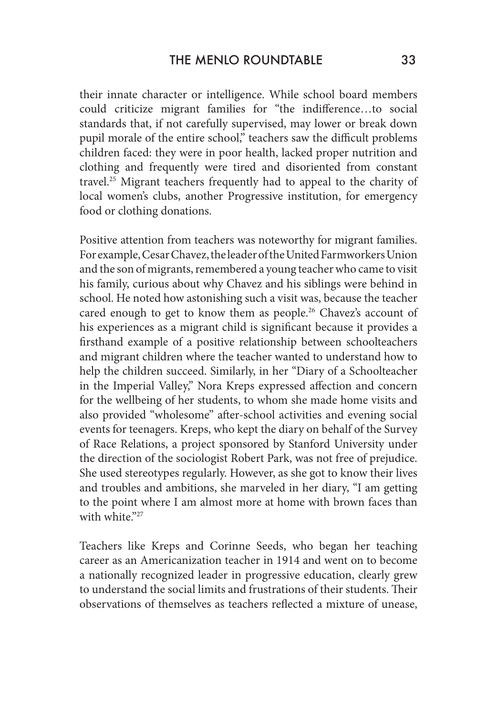their innate character or intelligence. While school board members could criticize migrant families for "the indifference…to social standards that, if not carefully supervised, may lower or break down pupil morale of the entire school," teachers saw the difficult problems children faced: they were in poor health, lacked proper nutrition and clothing and frequently were tired and disoriented from constant travel.25 Migrant teachers frequently had to appeal to the charity of local women's clubs, another Progressive institution, for emergency food or clothing donations.

Positive attention from teachers was noteworthy for migrant families. For example, Cesar Chavez, the leader of the United Farmworkers Union and the son of migrants, remembered a young teacher who came to visit his family, curious about why Chavez and his siblings were behind in school. He noted how astonishing such a visit was, because the teacher cared enough to get to know them as people.<sup>26</sup> Chavez's account of his experiences as a migrant child is significant because it provides a firsthand example of a positive relationship between schoolteachers and migrant children where the teacher wanted to understand how to help the children succeed. Similarly, in her "Diary of a Schoolteacher in the Imperial Valley," Nora Kreps expressed affection and concern for the wellbeing of her students, to whom she made home visits and also provided "wholesome" after-school activities and evening social events for teenagers. Kreps, who kept the diary on behalf of the Survey of Race Relations, a project sponsored by Stanford University under the direction of the sociologist Robert Park, was not free of prejudice. She used stereotypes regularly. However, as she got to know their lives and troubles and ambitions, she marveled in her diary, "I am getting to the point where I am almost more at home with brown faces than with white."27

Teachers like Kreps and Corinne Seeds, who began her teaching career as an Americanization teacher in 1914 and went on to become a nationally recognized leader in progressive education, clearly grew to understand the social limits and frustrations of their students. Their observations of themselves as teachers reflected a mixture of unease,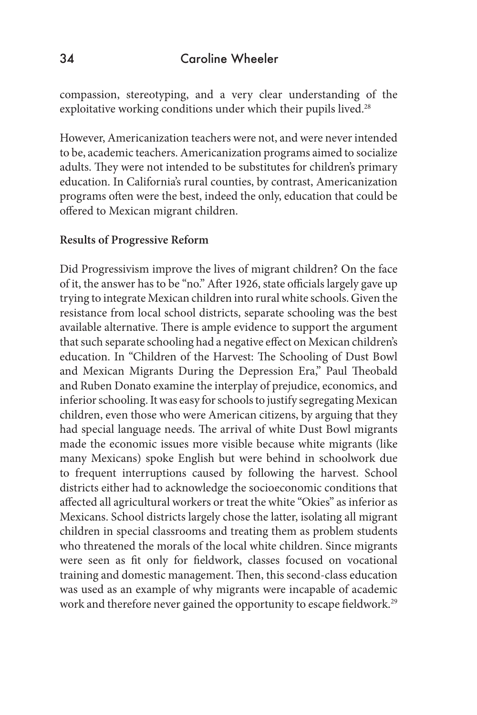compassion, stereotyping, and a very clear understanding of the exploitative working conditions under which their pupils lived.<sup>28</sup>

However, Americanization teachers were not, and were never intended to be, academic teachers. Americanization programs aimed to socialize adults. They were not intended to be substitutes for children's primary education. In California's rural counties, by contrast, Americanization programs often were the best, indeed the only, education that could be offered to Mexican migrant children.

#### **Results of Progressive Reform**

Did Progressivism improve the lives of migrant children? On the face of it, the answer has to be "no." After 1926, state officials largely gave up trying to integrate Mexican children into rural white schools. Given the resistance from local school districts, separate schooling was the best available alternative. There is ample evidence to support the argument that such separate schooling had a negative effect on Mexican children's education. In "Children of the Harvest: The Schooling of Dust Bowl and Mexican Migrants During the Depression Era," Paul Theobald and Ruben Donato examine the interplay of prejudice, economics, and inferior schooling. It was easy for schools to justify segregating Mexican children, even those who were American citizens, by arguing that they had special language needs. The arrival of white Dust Bowl migrants made the economic issues more visible because white migrants (like many Mexicans) spoke English but were behind in schoolwork due to frequent interruptions caused by following the harvest. School districts either had to acknowledge the socioeconomic conditions that affected all agricultural workers or treat the white "Okies" as inferior as Mexicans. School districts largely chose the latter, isolating all migrant children in special classrooms and treating them as problem students who threatened the morals of the local white children. Since migrants were seen as fit only for fieldwork, classes focused on vocational training and domestic management. Then, this second-class education was used as an example of why migrants were incapable of academic work and therefore never gained the opportunity to escape fieldwork.<sup>29</sup>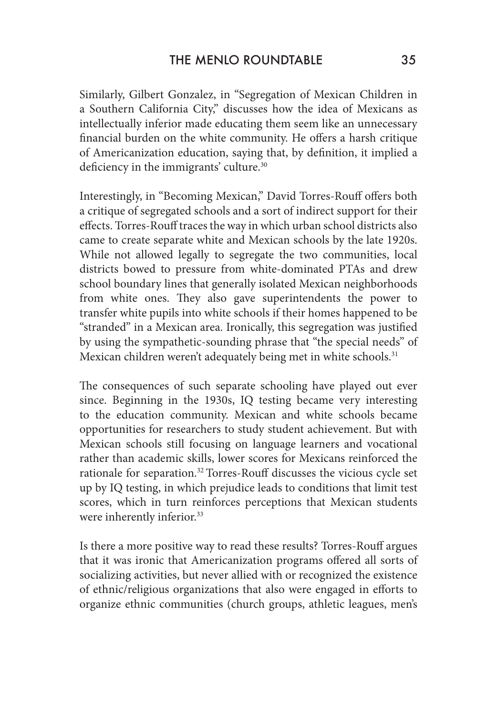Similarly, Gilbert Gonzalez, in "Segregation of Mexican Children in a Southern California City," discusses how the idea of Mexicans as intellectually inferior made educating them seem like an unnecessary financial burden on the white community. He offers a harsh critique of Americanization education, saying that, by definition, it implied a deficiency in the immigrants' culture.<sup>30</sup>

Interestingly, in "Becoming Mexican," David Torres-Rouff offers both a critique of segregated schools and a sort of indirect support for their effects. Torres-Rouff traces the way in which urban school districts also came to create separate white and Mexican schools by the late 1920s. While not allowed legally to segregate the two communities, local districts bowed to pressure from white-dominated PTAs and drew school boundary lines that generally isolated Mexican neighborhoods from white ones. They also gave superintendents the power to transfer white pupils into white schools if their homes happened to be "stranded" in a Mexican area. Ironically, this segregation was justified by using the sympathetic-sounding phrase that "the special needs" of Mexican children weren't adequately being met in white schools.<sup>31</sup>

The consequences of such separate schooling have played out ever since. Beginning in the 1930s, IQ testing became very interesting to the education community. Mexican and white schools became opportunities for researchers to study student achievement. But with Mexican schools still focusing on language learners and vocational rather than academic skills, lower scores for Mexicans reinforced the rationale for separation.32 Torres-Rouff discusses the vicious cycle set up by IQ testing, in which prejudice leads to conditions that limit test scores, which in turn reinforces perceptions that Mexican students were inherently inferior.<sup>33</sup>

Is there a more positive way to read these results? Torres-Rouff argues that it was ironic that Americanization programs offered all sorts of socializing activities, but never allied with or recognized the existence of ethnic/religious organizations that also were engaged in efforts to organize ethnic communities (church groups, athletic leagues, men's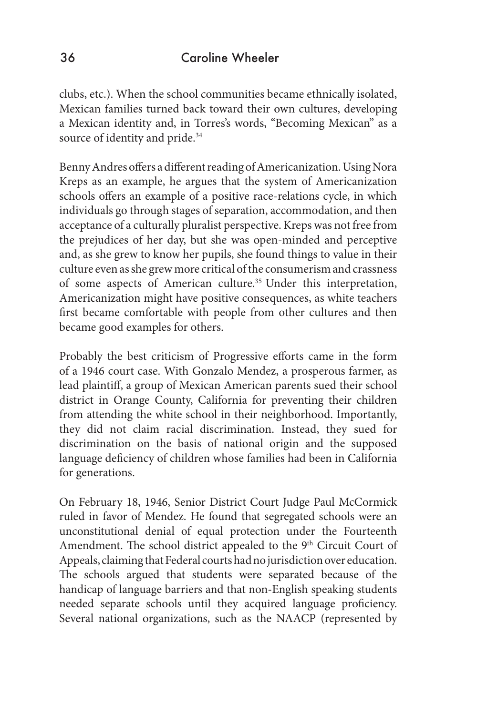clubs, etc.). When the school communities became ethnically isolated, Mexican families turned back toward their own cultures, developing a Mexican identity and, in Torres's words, "Becoming Mexican" as a source of identity and pride.<sup>34</sup>

Benny Andres offers a different reading of Americanization. Using Nora Kreps as an example, he argues that the system of Americanization schools offers an example of a positive race-relations cycle, in which individuals go through stages of separation, accommodation, and then acceptance of a culturally pluralist perspective. Kreps was not free from the prejudices of her day, but she was open-minded and perceptive and, as she grew to know her pupils, she found things to value in their culture even as she grew more critical of the consumerism and crassness of some aspects of American culture.<sup>35</sup> Under this interpretation, Americanization might have positive consequences, as white teachers first became comfortable with people from other cultures and then became good examples for others.

Probably the best criticism of Progressive efforts came in the form of a 1946 court case. With Gonzalo Mendez, a prosperous farmer, as lead plaintiff, a group of Mexican American parents sued their school district in Orange County, California for preventing their children from attending the white school in their neighborhood. Importantly, they did not claim racial discrimination. Instead, they sued for discrimination on the basis of national origin and the supposed language deficiency of children whose families had been in California for generations.

On February 18, 1946, Senior District Court Judge Paul McCormick ruled in favor of Mendez. He found that segregated schools were an unconstitutional denial of equal protection under the Fourteenth Amendment. The school district appealed to the 9<sup>th</sup> Circuit Court of Appeals, claiming that Federal courts had no jurisdiction over education. The schools argued that students were separated because of the handicap of language barriers and that non-English speaking students needed separate schools until they acquired language proficiency. Several national organizations, such as the NAACP (represented by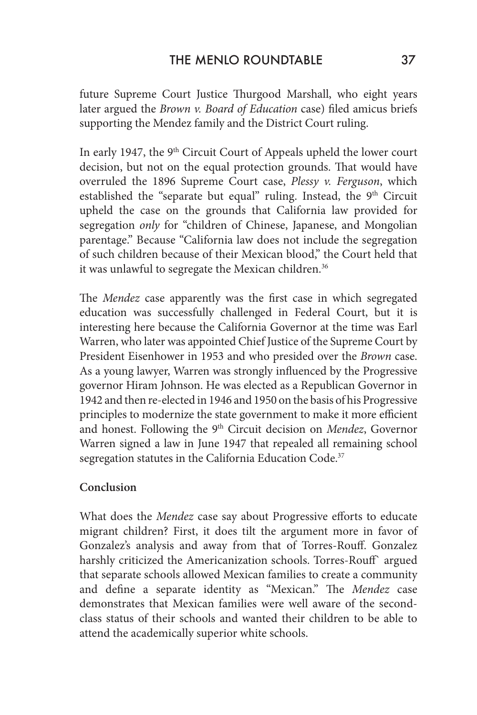future Supreme Court Justice Thurgood Marshall, who eight years later argued the *Brown v. Board of Education* case) filed amicus briefs supporting the Mendez family and the District Court ruling.

In early 1947, the 9<sup>th</sup> Circuit Court of Appeals upheld the lower court decision, but not on the equal protection grounds. That would have overruled the 1896 Supreme Court case, *Plessy v. Ferguson*, which established the "separate but equal" ruling. Instead, the  $9<sup>th</sup>$  Circuit upheld the case on the grounds that California law provided for segregation *only* for "children of Chinese, Japanese, and Mongolian parentage." Because "California law does not include the segregation of such children because of their Mexican blood," the Court held that it was unlawful to segregate the Mexican children.<sup>36</sup>

The *Mendez* case apparently was the first case in which segregated education was successfully challenged in Federal Court, but it is interesting here because the California Governor at the time was Earl Warren, who later was appointed Chief Justice of the Supreme Court by President Eisenhower in 1953 and who presided over the *Brown* case. As a young lawyer, Warren was strongly influenced by the Progressive governor Hiram Johnson. He was elected as a Republican Governor in 1942 and then re-elected in 1946 and 1950 on the basis of his Progressive principles to modernize the state government to make it more efficient and honest. Following the 9th Circuit decision on *Mendez*, Governor Warren signed a law in June 1947 that repealed all remaining school segregation statutes in the California Education Code.<sup>37</sup>

# **Conclusion**

What does the *Mendez* case say about Progressive efforts to educate migrant children? First, it does tilt the argument more in favor of Gonzalez's analysis and away from that of Torres-Rouff. Gonzalez harshly criticized the Americanization schools. Torres-Rouff` argued that separate schools allowed Mexican families to create a community and define a separate identity as "Mexican." The *Mendez* case demonstrates that Mexican families were well aware of the secondclass status of their schools and wanted their children to be able to attend the academically superior white schools.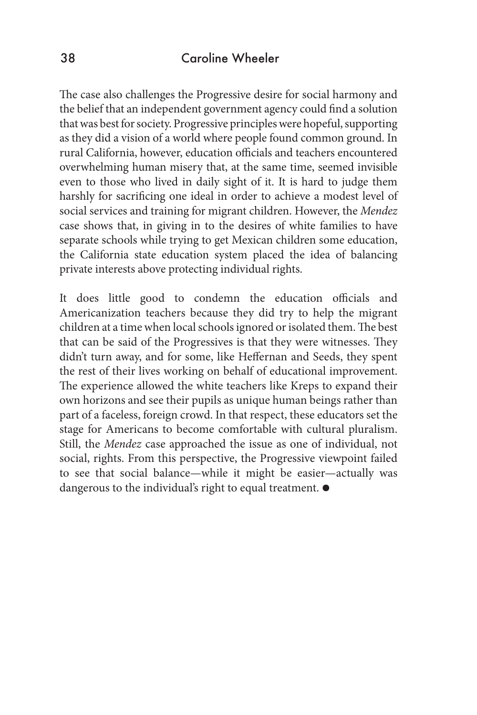The case also challenges the Progressive desire for social harmony and the belief that an independent government agency could find a solution that was best for society. Progressive principles were hopeful, supporting as they did a vision of a world where people found common ground. In rural California, however, education officials and teachers encountered overwhelming human misery that, at the same time, seemed invisible even to those who lived in daily sight of it. It is hard to judge them harshly for sacrificing one ideal in order to achieve a modest level of social services and training for migrant children. However, the *Mendez* case shows that, in giving in to the desires of white families to have separate schools while trying to get Mexican children some education, the California state education system placed the idea of balancing private interests above protecting individual rights.

It does little good to condemn the education officials and Americanization teachers because they did try to help the migrant children at a time when local schools ignored or isolated them. The best that can be said of the Progressives is that they were witnesses. They didn't turn away, and for some, like Heffernan and Seeds, they spent the rest of their lives working on behalf of educational improvement. The experience allowed the white teachers like Kreps to expand their own horizons and see their pupils as unique human beings rather than part of a faceless, foreign crowd. In that respect, these educators set the stage for Americans to become comfortable with cultural pluralism. Still, the *Mendez* case approached the issue as one of individual, not social, rights. From this perspective, the Progressive viewpoint failed to see that social balance—while it might be easier—actually was dangerous to the individual's right to equal treatment.  $\bullet$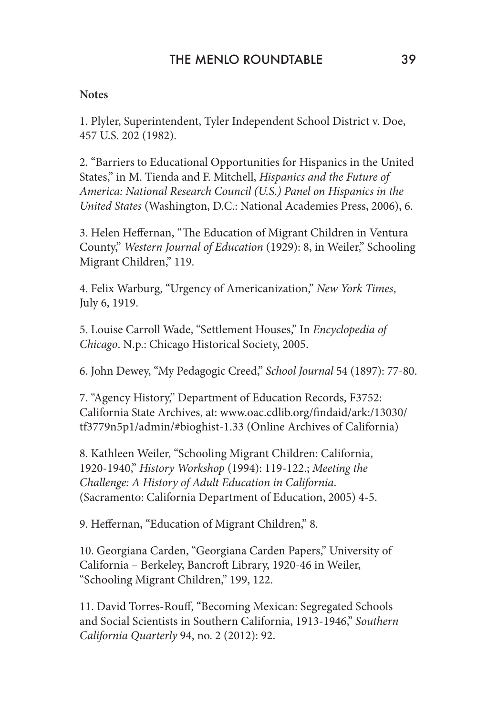### **Notes**

1. Plyler, Superintendent, Tyler Independent School District v. Doe, 457 U.S. 202 (1982).

2. "Barriers to Educational Opportunities for Hispanics in the United States," in M. Tienda and F. Mitchell, *Hispanics and the Future of America: National Research Council (U.S.) Panel on Hispanics in the United States* (Washington, D.C.: National Academies Press, 2006), 6.

3. Helen Heffernan, "The Education of Migrant Children in Ventura County," *Western Journal of Education* (1929): 8, in Weiler," Schooling Migrant Children," 119.

4. Felix Warburg, "Urgency of Americanization," *New York Times*, July 6, 1919.

5. Louise Carroll Wade, "Settlement Houses," In *Encyclopedia of Chicago*. N.p.: Chicago Historical Society, 2005.

6. John Dewey, "My Pedagogic Creed," *School Journal* 54 (1897): 77-80.

7. "Agency History," Department of Education Records, F3752: California State Archives, at: www.oac.cdlib.org/findaid/ark:/13030/ tf3779n5p1/admin/#bioghist-1.33 (Online Archives of California)

8. Kathleen Weiler, "Schooling Migrant Children: California, 1920-1940," *History Workshop* (1994): 119-122.; *Meeting the Challenge: A History of Adult Education in California*. (Sacramento: California Department of Education, 2005) 4-5.

9. Heffernan, "Education of Migrant Children," 8.

10. Georgiana Carden, "Georgiana Carden Papers," University of California – Berkeley, Bancroft Library, 1920-46 in Weiler, "Schooling Migrant Children," 199, 122.

11. David Torres-Rouff, "Becoming Mexican: Segregated Schools and Social Scientists in Southern California, 1913-1946," *Southern California Quarterly* 94, no. 2 (2012): 92.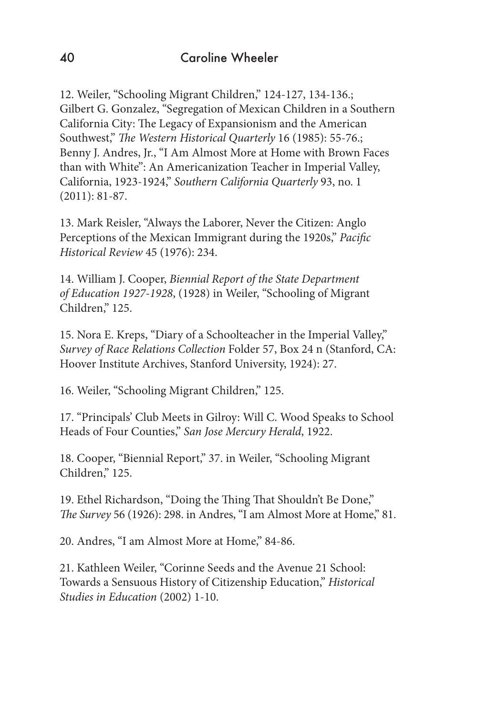12. Weiler, "Schooling Migrant Children," 124-127, 134-136.; Gilbert G. Gonzalez, "Segregation of Mexican Children in a Southern California City: The Legacy of Expansionism and the American Southwest," *The Western Historical Quarterly* 16 (1985): 55-76.; Benny J. Andres, Jr., "I Am Almost More at Home with Brown Faces than with White": An Americanization Teacher in Imperial Valley, California, 1923-1924," *Southern California Quarterly* 93, no. 1 (2011): 81-87.

13. Mark Reisler, "Always the Laborer, Never the Citizen: Anglo Perceptions of the Mexican Immigrant during the 1920s," *Pacific Historical Review* 45 (1976): 234.

14. William J. Cooper, *Biennial Report of the State Department of Education 1927-1928*, (1928) in Weiler, "Schooling of Migrant Children," 125.

15. Nora E. Kreps, "Diary of a Schoolteacher in the Imperial Valley," *Survey of Race Relations Collection* Folder 57, Box 24 n (Stanford, CA: Hoover Institute Archives, Stanford University, 1924): 27.

16. Weiler, "Schooling Migrant Children," 125.

17. "Principals' Club Meets in Gilroy: Will C. Wood Speaks to School Heads of Four Counties," *San Jose Mercury Herald*, 1922.

18. Cooper, "Biennial Report," 37. in Weiler, "Schooling Migrant Children," 125.

19. Ethel Richardson, "Doing the Thing That Shouldn't Be Done," *The Survey* 56 (1926): 298. in Andres, "I am Almost More at Home," 81.

20. Andres, "I am Almost More at Home," 84-86.

21. Kathleen Weiler, "Corinne Seeds and the Avenue 21 School: Towards a Sensuous History of Citizenship Education," *Historical Studies in Education* (2002) 1-10.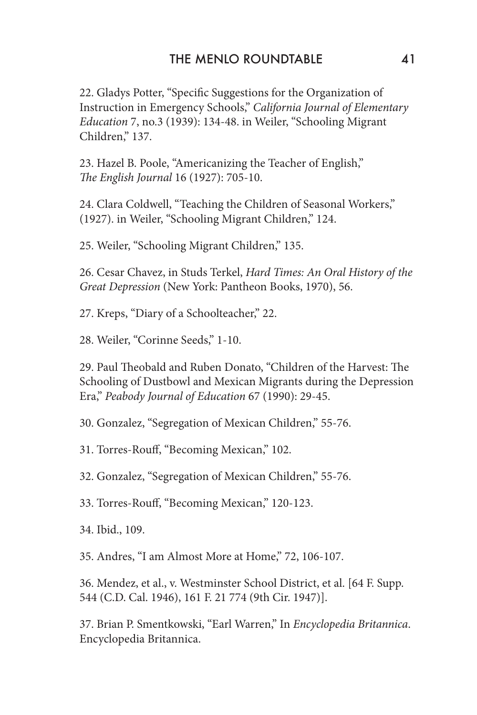# THE MENLO ROUNDTABLE 41

22. Gladys Potter, "Specific Suggestions for the Organization of Instruction in Emergency Schools," *California Journal of Elementary Education* 7, no.3 (1939): 134-48. in Weiler, "Schooling Migrant Children," 137.

23. Hazel B. Poole, "Americanizing the Teacher of English," *The English Journal* 16 (1927): 705-10.

24. Clara Coldwell, "Teaching the Children of Seasonal Workers," (1927). in Weiler, "Schooling Migrant Children," 124.

25. Weiler, "Schooling Migrant Children," 135.

26. Cesar Chavez, in Studs Terkel, *Hard Times: An Oral History of the Great Depression* (New York: Pantheon Books, 1970), 56.

27. Kreps, "Diary of a Schoolteacher," 22.

28. Weiler, "Corinne Seeds," 1-10.

29. Paul Theobald and Ruben Donato, "Children of the Harvest: The Schooling of Dustbowl and Mexican Migrants during the Depression Era," *Peabody Journal of Education* 67 (1990): 29-45.

30. Gonzalez, "Segregation of Mexican Children," 55-76.

31. Torres-Rouff, "Becoming Mexican," 102.

32. Gonzalez, "Segregation of Mexican Children," 55-76.

33. Torres-Rouff, "Becoming Mexican," 120-123.

34. Ibid., 109.

35. Andres, "I am Almost More at Home," 72, 106-107.

36. Mendez, et al., v. Westminster School District, et al. [64 F. Supp. 544 (C.D. Cal. 1946), 161 F. 21 774 (9th Cir. 1947)].

37. Brian P. Smentkowski, "Earl Warren," In *Encyclopedia Britannica*. Encyclopedia Britannica.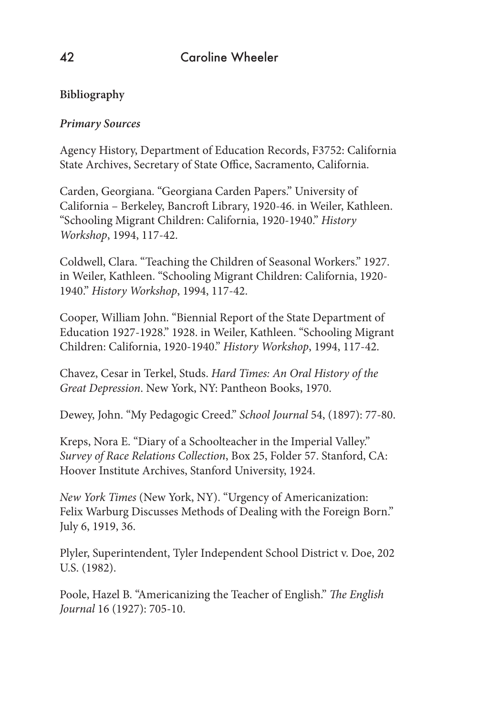# **Bibliography**

# *Primary Sources*

Agency History, Department of Education Records, F3752: California State Archives, Secretary of State Office, Sacramento, California.

Carden, Georgiana. "Georgiana Carden Papers." University of California – Berkeley, Bancroft Library, 1920-46. in Weiler, Kathleen. "Schooling Migrant Children: California, 1920-1940." *History Workshop*, 1994, 117-42.

Coldwell, Clara. "Teaching the Children of Seasonal Workers." 1927. in Weiler, Kathleen. "Schooling Migrant Children: California, 1920- 1940." *History Workshop*, 1994, 117-42.

Cooper, William John. "Biennial Report of the State Department of Education 1927-1928." 1928. in Weiler, Kathleen. "Schooling Migrant Children: California, 1920-1940." *History Workshop*, 1994, 117-42.

Chavez, Cesar in Terkel, Studs. *Hard Times: An Oral History of the Great Depression*. New York, NY: Pantheon Books, 1970.

Dewey, John. "My Pedagogic Creed." *School Journal* 54, (1897): 77-80.

Kreps, Nora E. "Diary of a Schoolteacher in the Imperial Valley." *Survey of Race Relations Collection*, Box 25, Folder 57. Stanford, CA: Hoover Institute Archives, Stanford University, 1924.

*New York Times* (New York, NY). "Urgency of Americanization: Felix Warburg Discusses Methods of Dealing with the Foreign Born." July 6, 1919, 36.

Plyler, Superintendent, Tyler Independent School District v. Doe, 202 U.S. (1982).

Poole, Hazel B. "Americanizing the Teacher of English." *The English Journal* 16 (1927): 705-10.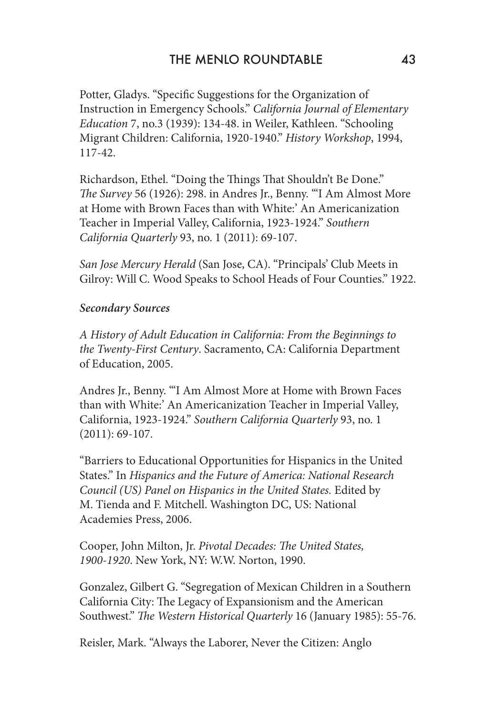Potter, Gladys. "Specific Suggestions for the Organization of Instruction in Emergency Schools." *California Journal of Elementary Education* 7, no.3 (1939): 134-48. in Weiler, Kathleen. "Schooling Migrant Children: California, 1920-1940." *History Workshop*, 1994, 117-42.

Richardson, Ethel. "Doing the Things That Shouldn't Be Done." *The Survey* 56 (1926): 298. in Andres Jr., Benny. "'I Am Almost More at Home with Brown Faces than with White:' An Americanization Teacher in Imperial Valley, California, 1923-1924." *Southern California Quarterly* 93, no. 1 (2011): 69-107.

*San Jose Mercury Herald* (San Jose, CA). "Principals' Club Meets in Gilroy: Will C. Wood Speaks to School Heads of Four Counties." 1922.

### *Secondary Sources*

*A History of Adult Education in California: From the Beginnings to the Twenty-First Century*. Sacramento, CA: California Department of Education, 2005.

Andres Jr., Benny. "'I Am Almost More at Home with Brown Faces than with White:' An Americanization Teacher in Imperial Valley, California, 1923-1924." *Southern California Quarterly* 93, no. 1 (2011): 69-107.

"Barriers to Educational Opportunities for Hispanics in the United States." In *Hispanics and the Future of America: National Research Council (US) Panel on Hispanics in the United States.* Edited by M. Tienda and F. Mitchell. Washington DC, US: National Academies Press, 2006.

Cooper, John Milton, Jr. *Pivotal Decades: The United States, 1900-1920*. New York, NY: W.W. Norton, 1990.

Gonzalez, Gilbert G. "Segregation of Mexican Children in a Southern California City: The Legacy of Expansionism and the American Southwest." *The Western Historical Quarterly* 16 (January 1985): 55-76.

Reisler, Mark. "Always the Laborer, Never the Citizen: Anglo